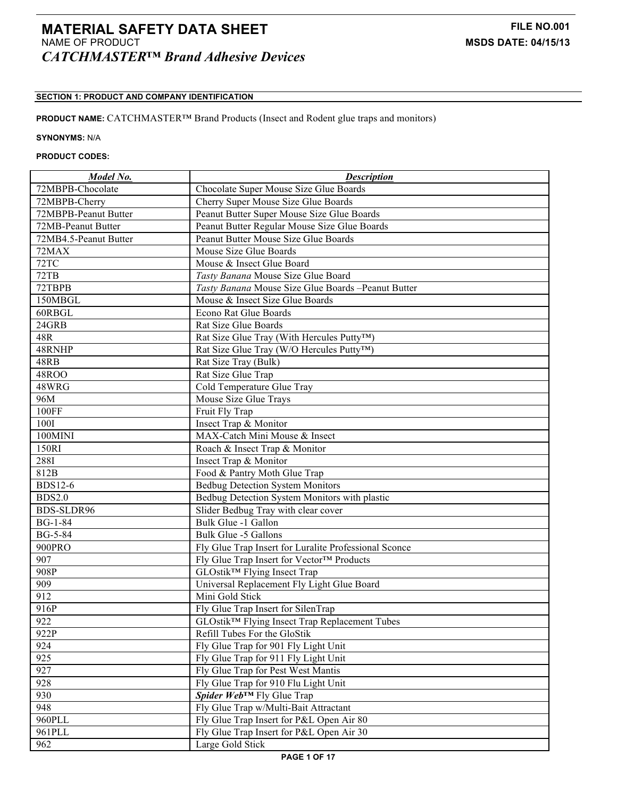# **MATERIAL SAFETY DATA SHEET FILE NO.001** NAME OF PRODUCT **MSDS DATE: 04/15/13** *CATCHMASTER™ Brand Adhesive Devices*

# **SECTION 1: PRODUCT AND COMPANY IDENTIFICATION**

# **PRODUCT NAME:** CATCHMASTER™ Brand Products (Insect and Rodent glue traps and monitors)

## **SYNONYMS:** N/A

# **PRODUCT CODES:**

| Model No.             | <b>Description</b>                                    |
|-----------------------|-------------------------------------------------------|
| 72MBPB-Chocolate      | Chocolate Super Mouse Size Glue Boards                |
| 72MBPB-Cherry         | Cherry Super Mouse Size Glue Boards                   |
| 72MBPB-Peanut Butter  | Peanut Butter Super Mouse Size Glue Boards            |
| 72MB-Peanut Butter    | Peanut Butter Regular Mouse Size Glue Boards          |
| 72MB4.5-Peanut Butter | Peanut Butter Mouse Size Glue Boards                  |
| 72MAX                 | Mouse Size Glue Boards                                |
| 72TC                  | Mouse & Insect Glue Board                             |
| 72TB                  | Tasty Banana Mouse Size Glue Board                    |
| 72TBPB                | Tasty Banana Mouse Size Glue Boards -Peanut Butter    |
| 150MBGL               | Mouse & Insect Size Glue Boards                       |
| 60RBGL                | Econo Rat Glue Boards                                 |
| 24GRB                 | Rat Size Glue Boards                                  |
| 48R                   | Rat Size Glue Tray (With Hercules Putty™)             |
| 48RNHP                | Rat Size Glue Tray (W/O Hercules Putty™)              |
| 48RB                  | Rat Size Tray (Bulk)                                  |
| <b>48ROO</b>          | Rat Size Glue Trap                                    |
| 48WRG                 | Cold Temperature Glue Tray                            |
| 96M                   | Mouse Size Glue Trays                                 |
| 100FF                 | Fruit Fly Trap                                        |
| <b>100I</b>           | Insect Trap & Monitor                                 |
| 100MINI               | MAX-Catch Mini Mouse & Insect                         |
| 150RI                 | Roach & Insect Trap & Monitor                         |
| 2881                  | Insect Trap & Monitor                                 |
| 812B                  | Food & Pantry Moth Glue Trap                          |
| <b>BDS12-6</b>        | <b>Bedbug Detection System Monitors</b>               |
| <b>BDS2.0</b>         | Bedbug Detection System Monitors with plastic         |
| BDS-SLDR96            | Slider Bedbug Tray with clear cover                   |
| <b>BG-1-84</b>        | Bulk Glue -1 Gallon                                   |
| <b>BG-5-84</b>        | Bulk Glue -5 Gallons                                  |
| 900PRO                | Fly Glue Trap Insert for Luralite Professional Sconce |
| 907                   | Fly Glue Trap Insert for Vector™ Products             |
| 908P                  | GLOstik <sup>™</sup> Flying Insect Trap               |
| 909                   | Universal Replacement Fly Light Glue Board            |
| 912                   | Mini Gold Stick                                       |
| 916P                  | Fly Glue Trap Insert for SilenTrap                    |
| 922                   | GLOstik™ Flying Insect Trap Replacement Tubes         |
| 922P                  | Refill Tubes For the GloStik                          |
| 924                   | Fly Glue Trap for 901 Fly Light Unit                  |
| 925                   | Fly Glue Trap for 911 Fly Light Unit                  |
| 927                   | Fly Glue Trap for Pest West Mantis                    |
| 928                   | Fly Glue Trap for 910 Flu Light Unit                  |
| 930                   | Spider Web™ Fly Glue Trap                             |
| 948                   | Fly Glue Trap w/Multi-Bait Attractant                 |
| 960PLL                | Fly Glue Trap Insert for P&L Open Air 80              |
| 961PLL                | Fly Glue Trap Insert for P&L Open Air 30              |
| 962                   | Large Gold Stick                                      |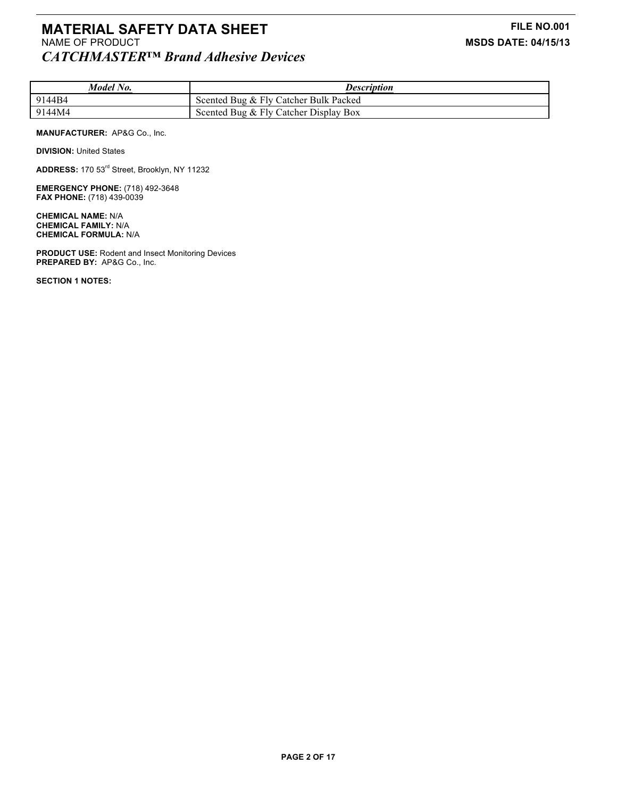# **MATERIAL SAFETY DATA SHEET**<br>
NAME OF PRODUCT **FILE NO.001**<br>
MSDS DATE: 04/15/13 *CATCHMASTER™ Brand Adhesive Devices*

| Model No. | <b>Description</b>                    |
|-----------|---------------------------------------|
| 9144B4    | Scented Bug & Fly Catcher Bulk Packed |
| 9144M4    | Scented Bug & Fly Catcher Display Box |

### **MANUFACTURER:** AP&G Co., Inc.

**DIVISION: United States** 

**ADDRESS:** 170 53rd Street, Brooklyn, NY 11232

**EMERGENCY PHONE:** (718) 492-3648 **FAX PHONE:** (718) 439-0039

**CHEMICAL NAME:** N/A **CHEMICAL FAMILY:** N/A **CHEMICAL FORMULA:** N/A

**PRODUCT USE:** Rodent and Insect Monitoring Devices **PREPARED BY:** AP&G Co., Inc.

**SECTION 1 NOTES:**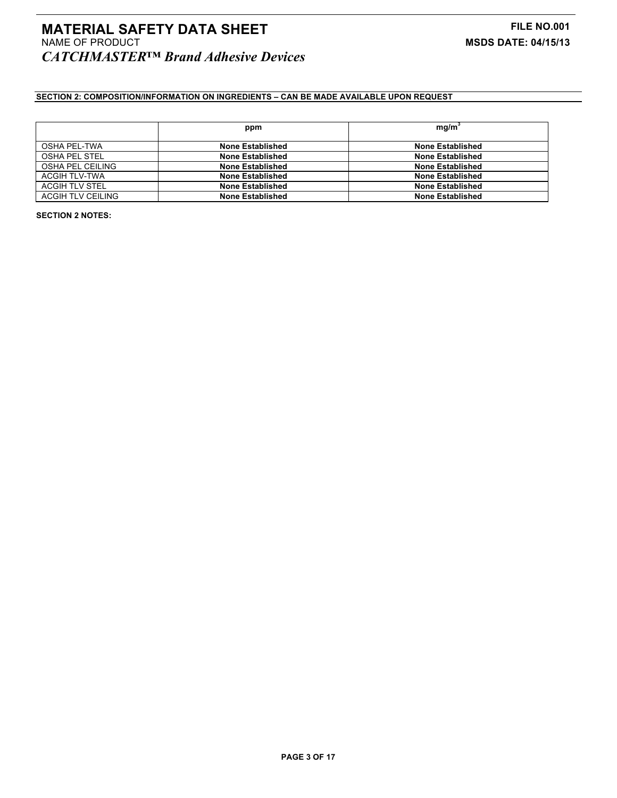# **MATERIAL SAFETY DATA SHEET FILE NO.001** NAME OF PRODUCT **MSDS DATE: 04/15/13** *CATCHMASTER™ Brand Adhesive Devices*

# **SECTION 2: COMPOSITION/INFORMATION ON INGREDIENTS – CAN BE MADE AVAILABLE UPON REQUEST**

|                          | ppm                     | mg/m <sup>3</sup>       |
|--------------------------|-------------------------|-------------------------|
|                          |                         |                         |
| <b>OSHA PEL-TWA</b>      | None Established        | <b>None Established</b> |
| OSHA PEL STEL            | <b>None Established</b> | <b>None Established</b> |
| OSHA PEL CEILING         | None Established        | <b>None Established</b> |
| ACGIH TLV-TWA            | <b>None Established</b> | <b>None Established</b> |
| ACGIH TLV STEL           | <b>None Established</b> | <b>None Established</b> |
| <b>ACGIH TLV CEILING</b> | <b>None Established</b> | <b>None Established</b> |

**SECTION 2 NOTES:**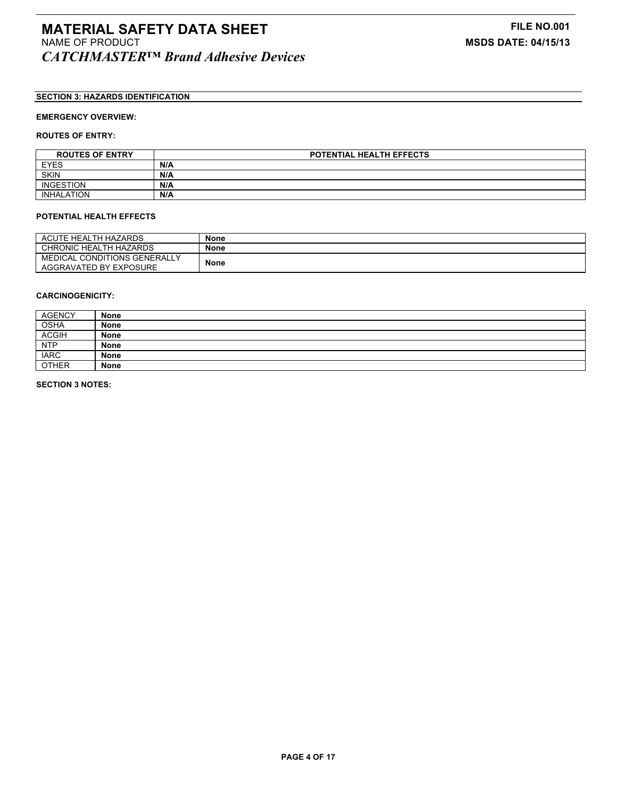# **SECTION 3: HAZARDS IDENTIFICATION**

## **EMERGENCY OVERVIEW:**

### **ROUTES OF ENTRY:**

| <b>ROUTES OF ENTRY</b> | <b>POTENTIAL HEALTH EFFECTS</b> |
|------------------------|---------------------------------|
| <b>EYES</b>            | N/A                             |
| <b>SKIN</b>            | N/A                             |
| <b>INGESTION</b>       | N/A                             |
| <b>INHALATION</b>      | N/A                             |

#### **POTENTIAL HEALTH EFFECTS**

| ACUTE HEALTH HAZARDS                                   | None        |
|--------------------------------------------------------|-------------|
| CHRONIC HEALTH HAZARDS                                 | None        |
| MEDICAL CONDITIONS GENERALLY<br>AGGRAVATED BY EXPOSURE | <b>None</b> |

### **CARCINOGENICITY:**

| <b>AGENCY</b> | <b>None</b> |
|---------------|-------------|
| <b>OSHA</b>   | <b>None</b> |
| <b>ACGIH</b>  | <b>None</b> |
| <b>NTP</b>    | <b>None</b> |
| <b>IARC</b>   | None        |
| <b>OTHER</b>  | <b>None</b> |

**SECTION 3 NOTES:**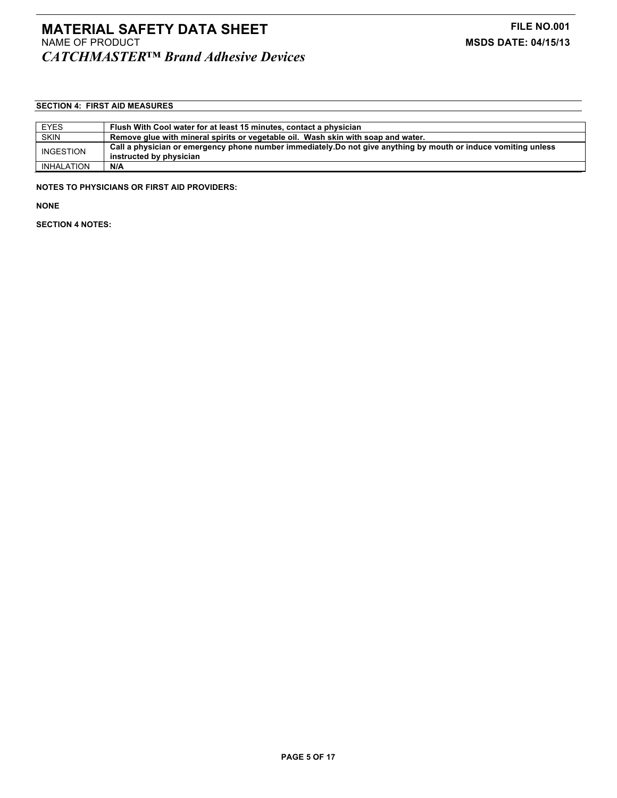# **SECTION 4: FIRST AID MEASURES**

| <b>EYES</b> | Flush With Cool water for at least 15 minutes, contact a physician                                              |
|-------------|-----------------------------------------------------------------------------------------------------------------|
| <b>SKIN</b> | Remove glue with mineral spirits or vegetable oil. Wash skin with soap and water.                               |
| INGESTION   | Call a physician or emergency phone number immediately. Do not give anything by mouth or induce vomiting unless |
|             | instructed by physician                                                                                         |
| INHALATION  | N/A                                                                                                             |

**NOTES TO PHYSICIANS OR FIRST AID PROVIDERS:**

**NONE**

**SECTION 4 NOTES:**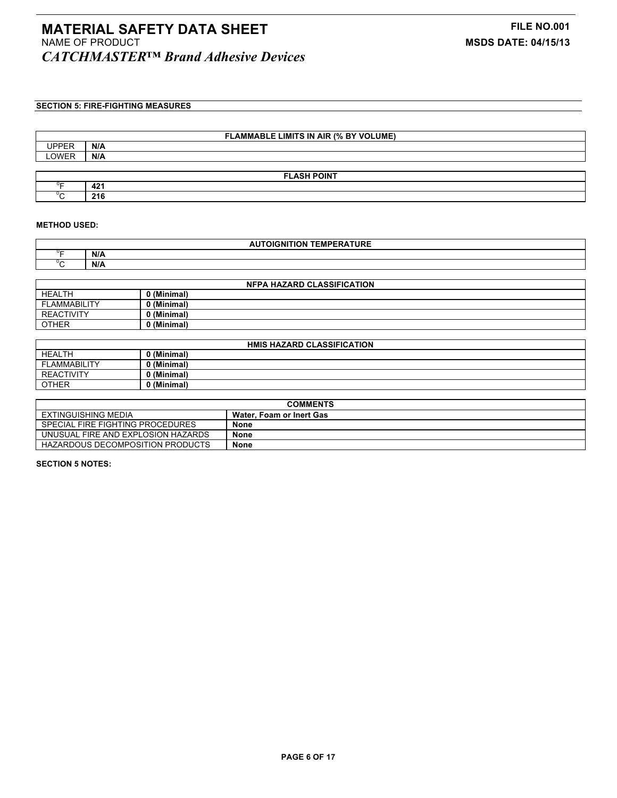# **SECTION 5: FIRE-FIGHTING MEASURES**

| <b>FLAMMABLE LIMITS IN AIR (% BY VOLUME)</b> |     |  |  |
|----------------------------------------------|-----|--|--|
| <b>UPPER</b>                                 | N/A |  |  |
| LOWER                                        | N/A |  |  |
|                                              |     |  |  |
| <b>FLASH POINT</b>                           |     |  |  |
|                                              | 421 |  |  |
|                                              | 216 |  |  |

### **METHOD USED:**

| $\sim$ $ \sim$ $ -$<br>-----<br>----<br>ות ו<br>∠MPr<br>י י<br>JRE |     |  |
|--------------------------------------------------------------------|-----|--|
|                                                                    | N/A |  |
|                                                                    | N/A |  |

| <b>NFPA HAZARD CLASSIFICATION</b> |           |  |
|-----------------------------------|-----------|--|
| <b>HEALTH</b>                     | (Minimal) |  |
| <b>FLAMMABILITY</b>               | (Minimal) |  |
| <b>REACTIVITY</b>                 | (Minimal) |  |
| <b>OTHER</b>                      | (Minimal) |  |

| <b>HMIS HAZARD CLASSIFICATION</b> |             |  |
|-----------------------------------|-------------|--|
| <b>HEALTH</b>                     | 0 (Minimal) |  |
| <b>FLAMMABILITY</b>               | 0 (Minimal) |  |
| <b>REACTIVITY</b>                 | 0 (Minimal) |  |
| <b>OTHER</b>                      | 0 (Minimal) |  |

| <b>COMMENTS</b>                    |                          |  |
|------------------------------------|--------------------------|--|
| EXTINGUISHING MEDIA                | Water. Foam or Inert Gas |  |
| SPECIAL FIRE FIGHTING PROCEDURES   | None                     |  |
| UNUSUAL FIRE AND EXPLOSION HAZARDS | <b>None</b>              |  |
| HAZARDOUS DECOMPOSITION PRODUCTS   | <b>None</b>              |  |

**SECTION 5 NOTES:**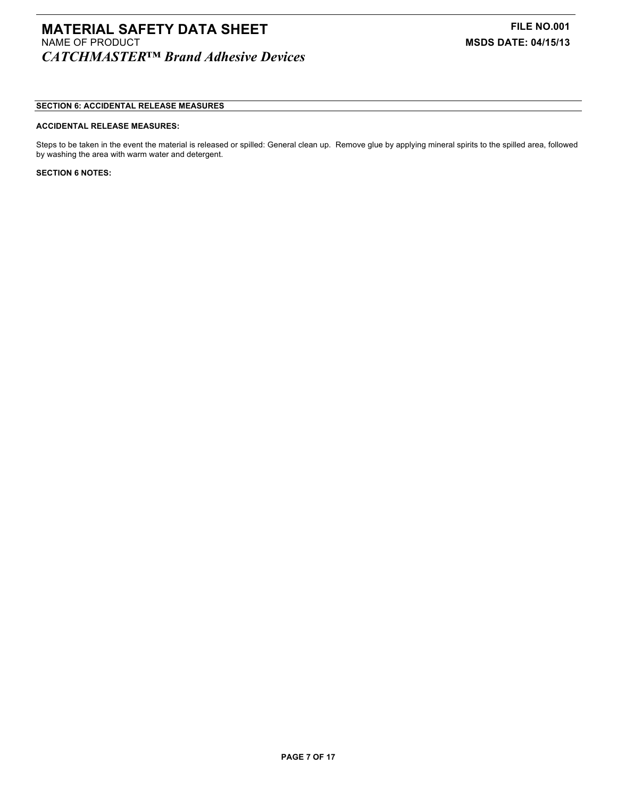# **MATERIAL SAFETY DATA SHEET**<br>
NAME OF PRODUCT **FILE NO.001**<br>
MSDS DATE: 04/15/13 *CATCHMASTER™ Brand Adhesive Devices*

## **SECTION 6: ACCIDENTAL RELEASE MEASURES**

#### **ACCIDENTAL RELEASE MEASURES:**

Steps to be taken in the event the material is released or spilled: General clean up. Remove glue by applying mineral spirits to the spilled area, followed by washing the area with warm water and detergent.

#### **SECTION 6 NOTES:**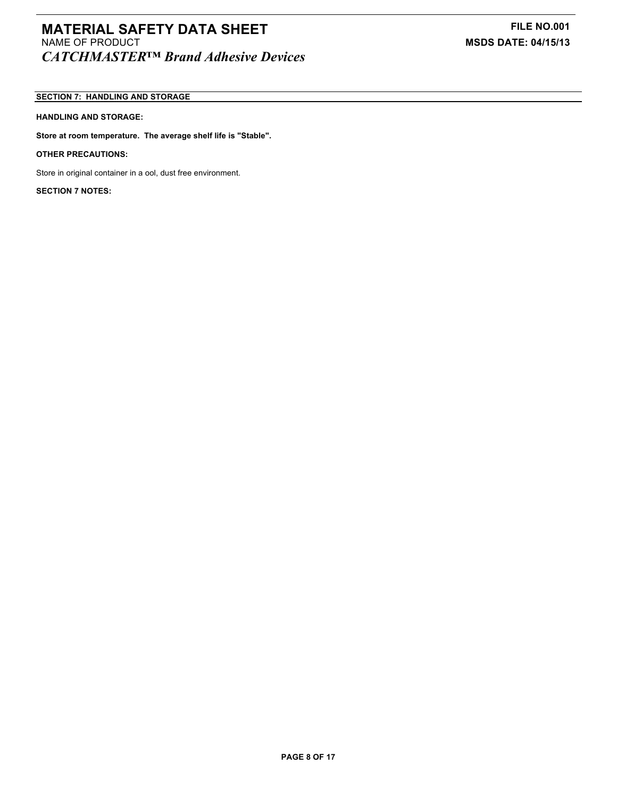# **MATERIAL SAFETY DATA SHEET**<br>**NAME OF PRODUCT** MAME OF PRODUCT *CATCHMASTER™ Brand Adhesive Devices*

# **SECTION 7: HANDLING AND STORAGE**

## **HANDLING AND STORAGE:**

**Store at room temperature. The average shelf life is "Stable".**

**OTHER PRECAUTIONS:**

Store in original container in a ool, dust free environment.

**SECTION 7 NOTES:**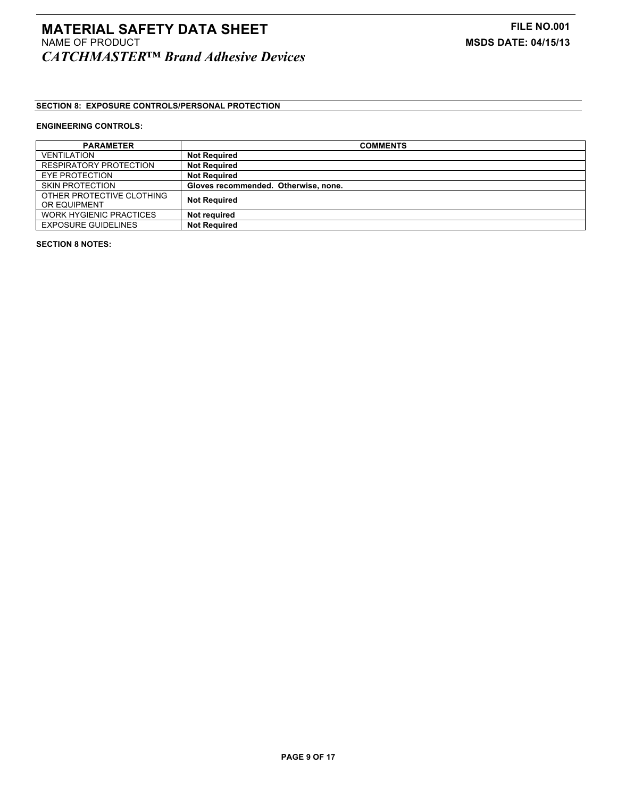# **SECTION 8: EXPOSURE CONTROLS/PERSONAL PROTECTION**

## **ENGINEERING CONTROLS:**

| <b>PARAMETER</b>               | <b>COMMENTS</b>                      |
|--------------------------------|--------------------------------------|
| <b>VENTILATION</b>             | <b>Not Required</b>                  |
| RESPIRATORY PROTECTION         | <b>Not Required</b>                  |
| EYE PROTECTION                 | <b>Not Required</b>                  |
| <b>SKIN PROTECTION</b>         | Gloves recommended. Otherwise, none. |
| OTHER PROTECTIVE CLOTHING      | <b>Not Required</b>                  |
| OR EQUIPMENT                   |                                      |
| <b>WORK HYGIENIC PRACTICES</b> | Not reauired                         |
| <b>EXPOSURE GUIDELINES</b>     | <b>Not Required</b>                  |

**SECTION 8 NOTES:**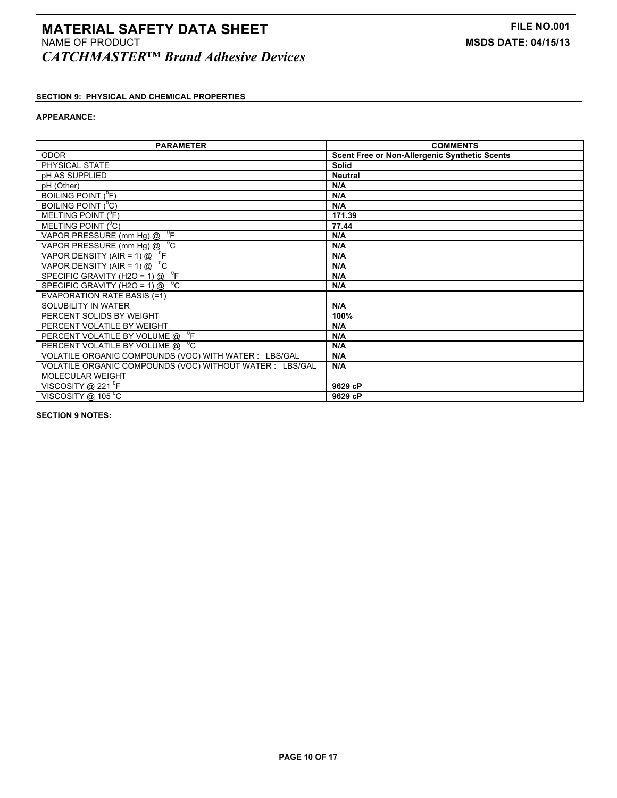# **SECTION 9: PHYSICAL AND CHEMICAL PROPERTIES**

## **APPEARANCE:**

| <b>PARAMETER</b>                                                     | <b>COMMENTS</b>                                      |
|----------------------------------------------------------------------|------------------------------------------------------|
| <b>ODOR</b>                                                          | <b>Scent Free or Non-Allergenic Synthetic Scents</b> |
| PHYSICAL STATE                                                       | Solid                                                |
| pH AS SUPPLIED                                                       | <b>Neutral</b>                                       |
| pH (Other)                                                           | N/A                                                  |
| <b>BOILING POINT (<sup>O</sup>F)</b>                                 | N/A                                                  |
| BOILING POINT ( <sup>°</sup> C)                                      | N/A                                                  |
| MELTING POINT $(^0F)$                                                | 171.39                                               |
| MELTING POINT $(^{0}C)$                                              | 77.44                                                |
| VAPOR PRESSURE (mm Hg) @ <sup>0</sup> F                              | N/A                                                  |
| VAPOR PRESSURE $(mm Hg) @ 0C$                                        | N/A                                                  |
| VAPOR DENSITY (AIR = 1) $\textcircled{2}$ <sup>o</sup> F             | N/A                                                  |
| VAPOR DENSITY (AIR = 1) $\textcircled{2}$ <sup>o</sup> C             | N/A                                                  |
| $\overline{\phantom{a}}^{\circ}$ F<br>SPECIFIC GRAVITY (H2O = 1) $@$ | N/A                                                  |
| $\rm ^{0}C$<br>SPECIFIC GRAVITY (H2O = 1) $@$                        | N/A                                                  |
| <b>EVAPORATION RATE BASIS (=1)</b>                                   |                                                      |
| SOLUBILITY IN WATER                                                  | N/A                                                  |
| PERCENT SOLIDS BY WEIGHT                                             | 100%                                                 |
| PERCENT VOLATILE BY WEIGHT                                           | N/A                                                  |
| $\overline{\phantom{a}}^{\circ}$ F<br>PERCENT VOLATILE BY VOLUME @   | N/A                                                  |
| PERCENT VOLATILE BY VOLUME @ C                                       | N/A                                                  |
| VOLATILE ORGANIC COMPOUNDS (VOC) WITH WATER : LBS/GAL                | N/A                                                  |
| VOLATILE ORGANIC COMPOUNDS (VOC) WITHOUT WATER : LBS/GAL             | N/A                                                  |
| <b>MOLECULAR WEIGHT</b>                                              |                                                      |
| VISCOSITY @ 221 <sup>o</sup> F                                       | 9629 cP                                              |
| VISCOSITY @ 105 °C                                                   | 9629 cP                                              |

**SECTION 9 NOTES:**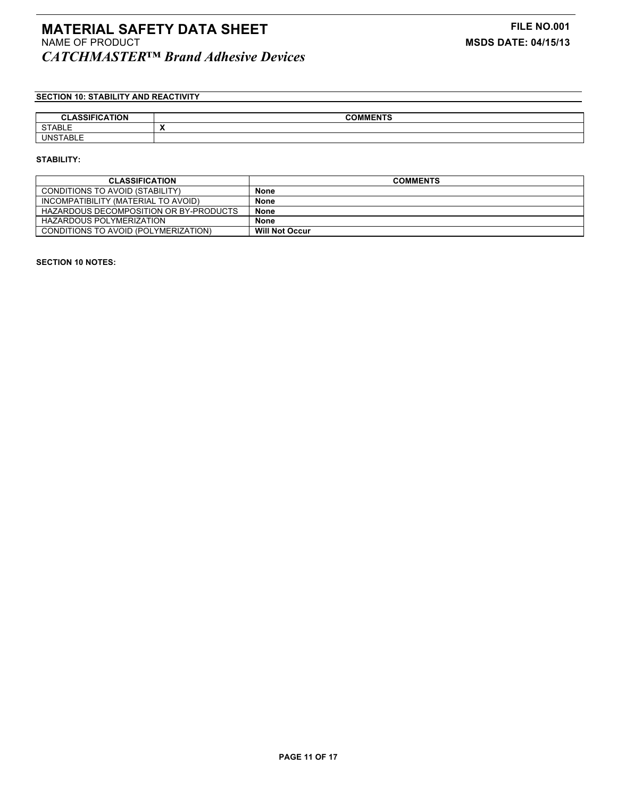# **MATERIAL SAFETY DATA SHEET**<br>
NAME OF PRODUCT MAME OF PRODUCT **NAME OF PRODUCT** *CATCHMASTER™ Brand Adhesive Devices*

# **SECTION 10: STABILITY AND REACTIVITY**

| <b>ASSIFICATION</b><br>$\sim$<br><b>ULAJJIF</b> | <b>COMMENTS</b> |
|-------------------------------------------------|-----------------|
| <b>CTADIE</b><br><b>SIABLE</b>                  | . .             |
| <b>UNSTABLE</b>                                 |                 |

#### **STABILITY:**

| <b>CLASSIFICATION</b>                  | <b>COMMENTS</b>       |
|----------------------------------------|-----------------------|
| CONDITIONS TO AVOID (STABILITY)        | <b>None</b>           |
| INCOMPATIBILITY (MATERIAL TO AVOID)    | <b>None</b>           |
| HAZARDOUS DECOMPOSITION OR BY-PRODUCTS | <b>None</b>           |
| HAZARDOUS POLYMERIZATION               | <b>None</b>           |
| CONDITIONS TO AVOID (POLYMERIZATION)   | <b>Will Not Occur</b> |

### **SECTION 10 NOTES:**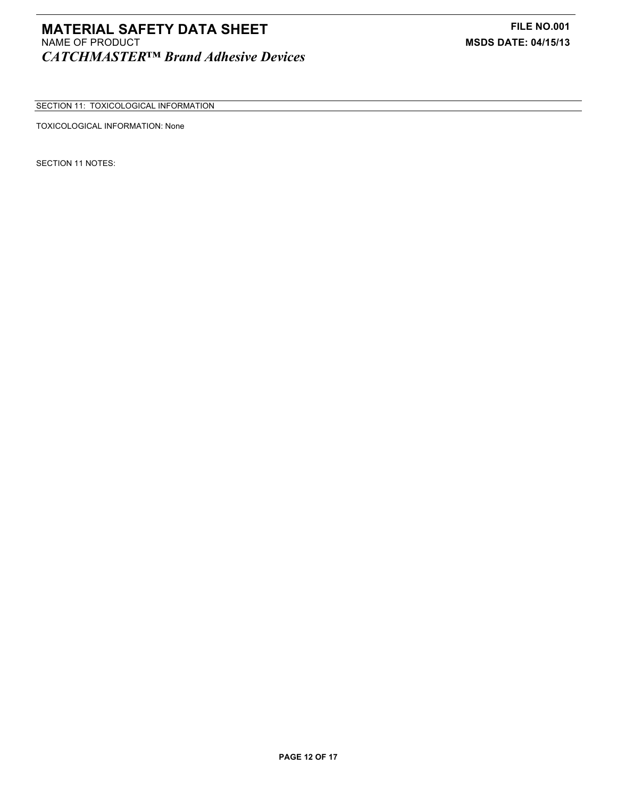SECTION 11: TOXICOLOGICAL INFORMATION

TOXICOLOGICAL INFORMATION: None

SECTION 11 NOTES: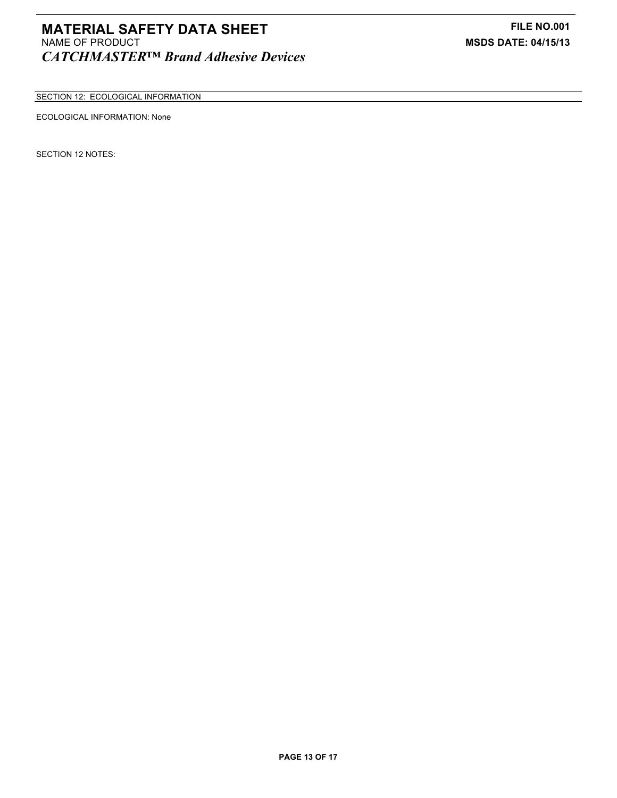# **MATERIAL SAFETY DATA SHEET FILE NO.001** NAME OF PRODUCT **MSDS DATE: 04/15/13** *CATCHMASTER™ Brand Adhesive Devices*

SECTION 12: ECOLOGICAL INFORMATION

# ECOLOGICAL INFORMATION: None

SECTION 12 NOTES: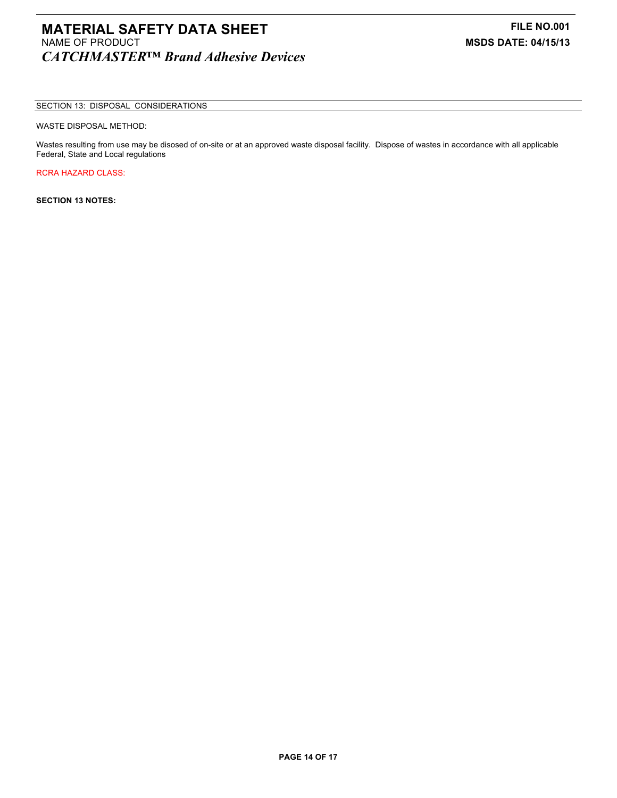# **MATERIAL SAFETY DATA SHEET**<br>
NAME OF PRODUCT **FILE NO.001**<br>
MSDS DATE: 04/15/13 *CATCHMASTER™ Brand Adhesive Devices*

### SECTION 13: DISPOSAL CONSIDERATIONS

### WASTE DISPOSAL METHOD:

Wastes resulting from use may be disosed of on-site or at an approved waste disposal facility. Dispose of wastes in accordance with all applicable Federal, State and Local regulations

RCRA HAZARD CLASS:

**SECTION 13 NOTES:**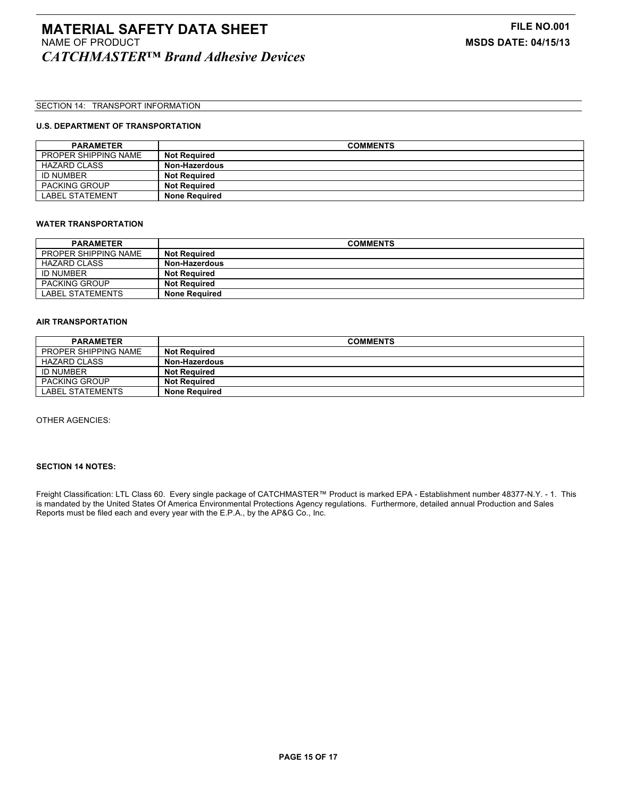## SECTION 14: TRANSPORT INFORMATION

## **U.S. DEPARTMENT OF TRANSPORTATION**

| <b>PARAMETER</b>       | <b>COMMENTS</b>      |
|------------------------|----------------------|
| PROPER SHIPPING NAME   | <b>Not Required</b>  |
| <b>HAZARD CLASS</b>    | Non-Hazerdous        |
| <b>ID NUMBER</b>       | <b>Not Required</b>  |
| <b>PACKING GROUP</b>   | <b>Not Required</b>  |
| <b>LABEL STATEMENT</b> | <b>None Required</b> |

#### **WATER TRANSPORTATION**

| <b>PARAMETER</b>     | <b>COMMENTS</b>      |
|----------------------|----------------------|
| PROPER SHIPPING NAME | <b>Not Required</b>  |
| <b>HAZARD CLASS</b>  | Non-Hazerdous        |
| <b>ID NUMBER</b>     | <b>Not Required</b>  |
| <b>PACKING GROUP</b> | <b>Not Required</b>  |
| LABEL STATEMENTS     | <b>None Required</b> |

#### **AIR TRANSPORTATION**

| <b>PARAMETER</b>        | <b>COMMENTS</b>      |
|-------------------------|----------------------|
| PROPER SHIPPING NAME    | <b>Not Required</b>  |
| HAZARD CLASS            | Non-Hazerdous        |
| <b>ID NUMBER</b>        | <b>Not Required</b>  |
| <b>PACKING GROUP</b>    | <b>Not Required</b>  |
| <b>LABEL STATEMENTS</b> | <b>None Required</b> |

OTHER AGENCIES:

# **SECTION 14 NOTES:**

Freight Classification: LTL Class 60. Every single package of CATCHMASTER™ Product is marked EPA - Establishment number 48377-N.Y. - 1. This is mandated by the United States Of America Environmental Protections Agency regulations. Furthermore, detailed annual Production and Sales Reports must be filed each and every year with the E.P.A., by the AP&G Co., Inc.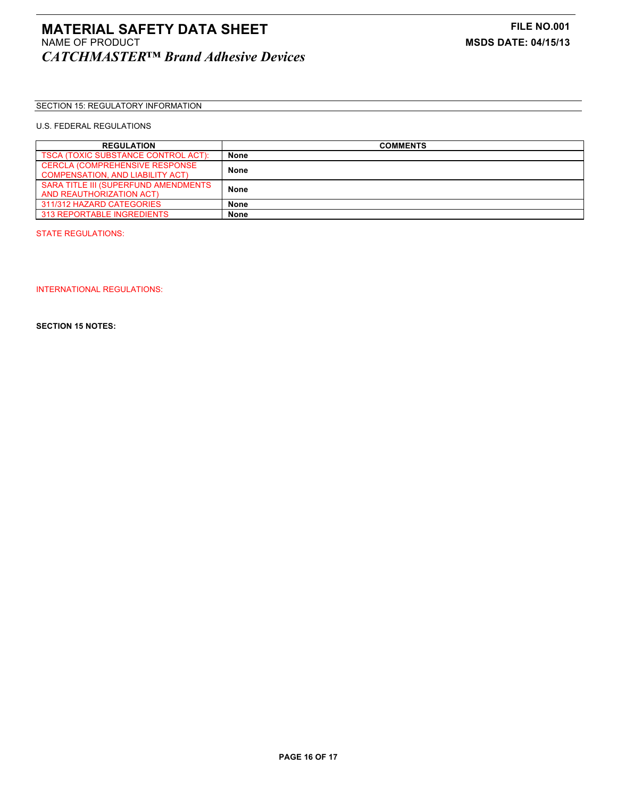## SECTION 15: REGULATORY INFORMATION

## U.S. FEDERAL REGULATIONS

| <b>REGULATION</b>                       | <b>COMMENTS</b> |
|-----------------------------------------|-----------------|
| TSCA (TOXIC SUBSTANCE CONTROL ACT):     | None            |
| <b>CERCLA (COMPREHENSIVE RESPONSE)</b>  | <b>None</b>     |
| <b>COMPENSATION, AND LIABILITY ACT)</b> |                 |
| SARA TITLE III (SUPERFUND AMENDMENTS    | <b>None</b>     |
| AND REAUTHORIZATION ACT)                |                 |
| 311/312 HAZARD CATEGORIES               | None            |
| <b>313 REPORTABLE INGREDIENTS</b>       | <b>None</b>     |

STATE REGULATIONS:

INTERNATIONAL REGULATIONS:

**SECTION 15 NOTES:**